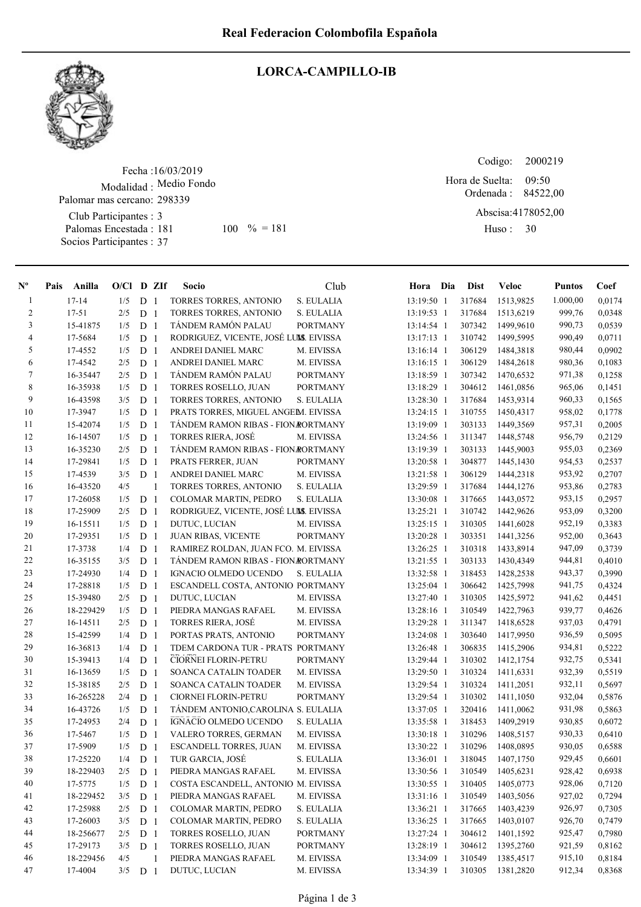

## LORCA-CAMPILLO-IB

Fecha : 16/03/2019 Modalidad : Medio Fondo Club Participantes : 3 Palomas Encestada : Socios Participantes : 37 Palomar mas cercano: 298339 181 100 % = 181 Huso: 30

Codigo: Ordenada : 84522,00 Abscisa: 4178052,00 Huso: 30 09:50 Hora de Suelta:

| $\mathbf{N}^{\mathbf{o}}$ | Pais      | Anilla    | $O/Cl$ D ZIf |                |                | Socio                                  | Club            | Hora Dia     | <b>Dist</b> | Veloc      | <b>Puntos</b> | Coef   |
|---------------------------|-----------|-----------|--------------|----------------|----------------|----------------------------------------|-----------------|--------------|-------------|------------|---------------|--------|
| $\mathbf{1}$              | $17 - 14$ |           | 1/5          | D <sub>1</sub> |                | TORRES TORRES, ANTONIO                 | S. EULALIA      | 13:19:50 1   | 317684      | 1513,9825  | 1.000,00      | 0,0174 |
| $\overline{c}$            | $17 - 51$ |           | 2/5          | D              | $\overline{1}$ | TORRES TORRES, ANTONIO                 | S. EULALIA      | 13:19:53 1   | 317684      | 1513,6219  | 999,76        | 0.0348 |
| 3                         |           | 15-41875  | 1/5          | D <sub>1</sub> |                | <b>TÁNDEM RAMÓN PALAU</b>              | <b>PORTMANY</b> | 13:14:54 1   | 307342      | 1499,9610  | 990,73        | 0,0539 |
| $\overline{4}$            |           | 17-5684   | 1/5          | D <sub>1</sub> |                | RODRIGUEZ, VICENTE, JOSÉ LUMS. EIVISSA |                 | 13:17:13 1   | 310742      | 1499,5995  | 990,49        | 0,0711 |
| 5                         |           | 17-4552   | 1/5          | D              | -1             | ANDREI DANIEL MARC                     | M. EIVISSA      | 13:16:14 1   | 306129      | 1484,3818  | 980,44        | 0,0902 |
| 6                         |           | 17-4542   | 2/5          | D              | -1             | ANDREI DANIEL MARC                     | M. EIVISSA      | 13:16:15 1   | 306129      | 1484,2618  | 980,36        | 0,1083 |
| $\tau$                    |           | 16-35447  | 2/5          | ${\bf D}$      | -1             | TÁNDEM RAMÓN PALAU                     | <b>PORTMANY</b> | 13:18:59 1   | 307342      | 1470,6532  | 971,38        | 0,1258 |
| 8                         |           | 16-35938  | 1/5          | D              | -1             | <b>TORRES ROSELLO, JUAN</b>            | <b>PORTMANY</b> | 13:18:29 1   | 304612      | 1461,0856  | 965,06        | 0,1451 |
| 9                         |           | 16-43598  | 3/5          | D              | - 1            | TORRES TORRES, ANTONIO                 | S. EULALIA      | 13:28:30 1   | 317684      | 1453,9314  | 960,33        | 0,1565 |
| 10                        |           | 17-3947   | 1/5          | D              | -1             | PRATS TORRES, MIGUEL ANGEM. EIVISSA    |                 | $13:24:15$ 1 | 310755      | 1450, 4317 | 958,02        | 0,1778 |
| 11                        |           | 15-42074  | 1/5          | D              | -1             | TÁNDEM RAMON RIBAS - FION RORTMANY     |                 | 13:19:09 1   | 303133      | 1449,3569  | 957,31        | 0,2005 |
| 12                        |           | 16-14507  | 1/5          | D              | -1             | TORRES RIERA, JOSÉ                     | M. EIVISSA      | 13:24:56 1   | 311347      | 1448,5748  | 956,79        | 0,2129 |
| 13                        |           | 16-35230  | 2/5          | D <sub>1</sub> |                | TÁNDEM RAMON RIBAS - FION RORTMANY     |                 | 13:19:39 1   | 303133      | 1445,9003  | 955,03        | 0,2369 |
| 14                        |           | 17-29841  | 1/5          | D <sub>1</sub> |                | PRATS FERRER, JUAN                     | <b>PORTMANY</b> | 13:20:58 1   | 304877      | 1445,1430  | 954,53        | 0,2537 |
| 15                        |           | 17-4539   | 3/5          | D              | $\overline{1}$ | ANDREI DANIEL MARC                     | M. EIVISSA      | 13:21:58 1   | 306129      | 1444,2318  | 953,92        | 0,2707 |
| 16                        |           | 16-43520  | 4/5          |                | $\mathbf{1}$   | TORRES TORRES, ANTONIO                 | S. EULALIA      | 13:29:59 1   | 317684      | 1444,1276  | 953,86        | 0,2783 |
| 17                        |           | 17-26058  | 1/5          | D              | -1             | COLOMAR MARTIN, PEDRO                  | S. EULALIA      | 13:30:08 1   | 317665      | 1443,0572  | 953,15        | 0,2957 |
| 18                        |           | 17-25909  | 2/5          | D              | -1             | RODRIGUEZ, VICENTE, JOSÉ LUMS. EIVISSA |                 | 13:25:21 1   | 310742      | 1442,9626  | 953,09        | 0,3200 |
| 19                        |           | 16-15511  | 1/5          | ${\bf D}$      | -1             | DUTUC, LUCIAN                          | M. EIVISSA      | 13:25:15 1   | 310305      | 1441,6028  | 952,19        | 0,3383 |
| $20\,$                    |           | 17-29351  | 1/5          | ${\bf D}$      | -1             | <b>JUAN RIBAS, VICENTE</b>             | <b>PORTMANY</b> | 13:20:28 1   | 303351      | 1441,3256  | 952,00        | 0,3643 |
| 21                        |           | 17-3738   | 1/4          | $\mathbf D$    | 1              | RAMIREZ ROLDAN, JUAN FCO. M. EIVISSA   |                 | 13:26:25 1   | 310318      | 1433,8914  | 947,09        | 0,3739 |
| $22\,$                    |           | 16-35155  | 3/5          | D              | -1             | TÁNDEM RAMON RIBAS - FION RORTMANY     |                 | 13:21:55 1   | 303133      | 1430,4349  | 944,81        | 0,4010 |
| 23                        |           | 17-24930  | 1/4          | D              | -1             | IGNACIO OLMEDO UCENDO                  | S. EULALIA      | 13:32:58 1   | 318453      | 1428,2538  | 943,37        | 0,3990 |
| 24                        |           | 17-28818  | 1/5          | ${\bf D}$      | -1             | ESCANDELL COSTA, ANTONIO PORTMANY      |                 | 13:25:04 1   | 306642      | 1425,7998  | 941,75        | 0,4324 |
| 25                        |           | 15-39480  | 2/5          | D              | $\overline{1}$ | DUTUC, LUCIAN                          | M. EIVISSA      | 13:27:40 1   | 310305      | 1425,5972  | 941,62        | 0,4451 |
| 26                        |           | 18-229429 | 1/5          | D <sub>1</sub> |                | PIEDRA MANGAS RAFAEL                   | M. EIVISSA      | 13:28:16 1   | 310549      | 1422,7963  | 939,77        | 0,4626 |
| 27                        |           | 16-14511  | 2/5          | D <sub>1</sub> |                | <b>TORRES RIERA, JOSÉ</b>              | M. EIVISSA      | 13:29:28 1   | 311347      | 1418,6528  | 937,03        | 0,4791 |
| $28\,$                    |           | 15-42599  | 1/4          | D <sub>1</sub> |                | PORTAS PRATS, ANTONIO                  | <b>PORTMANY</b> | 13:24:08 1   | 303640      | 1417,9950  | 936,59        | 0,5095 |
| 29                        |           | 16-36813  | 1/4          | D              | - 1            | TDEM CARDONA TUR - PRATS PORTMANY      |                 | 13:26:48 1   | 306835      | 1415,2906  | 934,81        | 0,5222 |
| $30\,$                    |           | 15-39413  | 1/4          | D              | -1             | CIORNEI FLORIN-PETRU                   | <b>PORTMANY</b> | 13:29:44 1   | 310302      | 1412,1754  | 932,75        | 0,5341 |
| 31                        |           | 16-13659  | 1/5          | D              | -1             | SOANCA CATALIN TOADER                  | M. EIVISSA      | 13:29:50 1   | 310324      | 1411,6331  | 932,39        | 0,5519 |
| 32                        |           | 15-38185  | 2/5          | D              | -1             | SOANCA CATALIN TOADER                  | M. EIVISSA      | 13:29:54 1   | 310324      | 1411,2051  | 932,11        | 0,5697 |
| 33                        |           | 16-265228 | 2/4          | D              | -1             | <b>CIORNEI FLORIN-PETRU</b>            | <b>PORTMANY</b> | 13:29:54 1   | 310302      | 1411,1050  | 932,04        | 0,5876 |
| 34                        |           | 16-43726  | 1/5          | D              | -1             | TÁNDEM ANTONIO, CAROLINA S. EULALIA    |                 | 13:37:05 1   | 320416      | 1411,0062  | 931,98        | 0,5863 |
| 35                        |           | 17-24953  | 2/4          | D              | -1             | IGNACIO OLMEDO UCENDO                  | S. EULALIA      | 13:35:58 1   | 318453      | 1409,2919  | 930,85        | 0,6072 |
| 36                        |           | 17-5467   | 1/5          | D              | $\overline{1}$ | VALERO TORRES, GERMAN                  | M. EIVISSA      | 13:30:18 1   | 310296      | 1408,5157  | 930,33        | 0,6410 |
| 37                        |           | 17-5909   | 1/5          | D              | $\overline{1}$ | ESCANDELL TORRES, JUAN                 | M. EIVISSA      | 13:30:22 1   | 310296      | 1408,0895  | 930,05        | 0,6588 |
| $3\,$                     |           | 17-25220  | 1/4          | D <sub>1</sub> |                | TUR GARCIA, JOSÉ                       | S. EULALIA      | 13:36:01 1   | 318045      | 1407,1750  | 929,45        | 0,6601 |
| 39                        |           | 18-229403 | 2/5          | D <sub>1</sub> |                | PIEDRA MANGAS RAFAEL                   | M. EIVISSA      | 13:30:56 1   | 310549      | 1405,6231  | 928,42        | 0,6938 |
| 40                        |           | 17-5775   | 1/5          | D <sub>1</sub> |                | COSTA ESCANDELL, ANTONIO M. EIVISSA    |                 | 13:30:55 1   | 310405      | 1405,0773  | 928,06        | 0,7120 |
| 41                        |           | 18-229452 | 3/5          | D <sub>1</sub> |                | PIEDRA MANGAS RAFAEL                   | M. EIVISSA      | 13:31:16 1   | 310549      | 1403,5056  | 927,02        | 0,7294 |
| 42                        |           | 17-25988  | 2/5          | D <sub>1</sub> |                | COLOMAR MARTIN, PEDRO                  | S. EULALIA      | 13:36:21 1   | 317665      | 1403,4239  | 926,97        | 0,7305 |
| 43                        |           | 17-26003  | 3/5          | D <sub>1</sub> |                | COLOMAR MARTIN, PEDRO                  | S. EULALIA      | 13:36:25 1   | 317665      | 1403,0107  | 926,70        | 0,7479 |
| 44                        |           | 18-256677 | 2/5          | D <sub>1</sub> |                | TORRES ROSELLO, JUAN                   | <b>PORTMANY</b> | 13:27:24 1   | 304612      | 1401,1592  | 925,47        | 0,7980 |
| 45                        |           | 17-29173  | 3/5          | D <sub>1</sub> |                | <b>TORRES ROSELLO, JUAN</b>            | <b>PORTMANY</b> | 13:28:19 1   | 304612      | 1395,2760  | 921,59        | 0,8162 |
| 46                        |           | 18-229456 | 4/5          |                | $\mathbf{1}$   | PIEDRA MANGAS RAFAEL                   | M. EIVISSA      | 13:34:09 1   | 310549      | 1385,4517  | 915,10        | 0,8184 |
| 47                        |           | 17-4004   | 3/5          | D <sub>1</sub> |                | DUTUC, LUCIAN                          | M. EIVISSA      | 13:34:39 1   | 310305      | 1381,2820  | 912,34        | 0,8368 |
|                           |           |           |              |                |                |                                        |                 |              |             |            |               |        |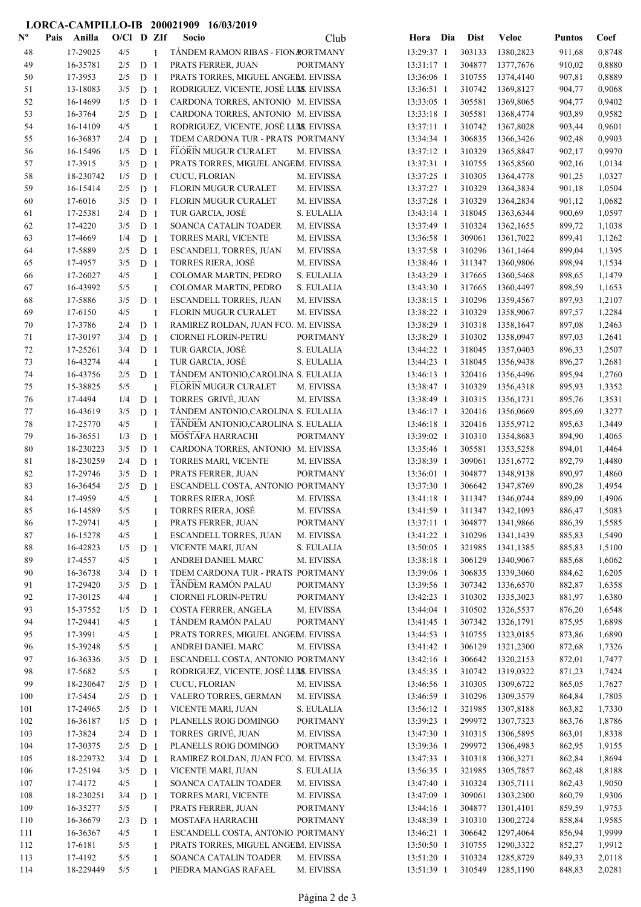## LORCA-CAMPILLO-IB 200021909 16/03/2019

| $\mathbf{N}^{\mathbf{o}}$ | Pais | Anilla              | $O/Cl$ D ZIf |                                  |                | Socio                                                                       | Club            |                          | Hora Dia | <b>Dist</b>      | Veloc                  | <b>Puntos</b>    | Coef             |
|---------------------------|------|---------------------|--------------|----------------------------------|----------------|-----------------------------------------------------------------------------|-----------------|--------------------------|----------|------------------|------------------------|------------------|------------------|
| 48                        |      | 17-29025            | 4/5          |                                  | 1              | TÁNDEM RAMON RIBAS - FION RORTMANY                                          |                 | 13:29:37 1               |          | 303133           | 1380,2823              | 911,68           | 0,8748           |
| 49                        |      | 16-35781            | 2/5          | D <sub>1</sub>                   |                | PRATS FERRER, JUAN                                                          | <b>PORTMANY</b> | 13:31:17 1               |          | 304877           | 1377,7676              | 910,02           | 0,8880           |
| 50                        |      | 17-3953             | 2/5          | D <sub>1</sub>                   |                | PRATS TORRES, MIGUEL ANGEM. EIVISSA                                         |                 | 13:36:06 1               |          | 310755           | 1374,4140              | 907,81           | 0,8889           |
| 51                        |      | 13-18083            | 3/5          | D <sub>1</sub>                   |                | RODRIGUEZ, VICENTE, JOSÉ LUMS. EIVISSA                                      |                 | 13:36:51 1               |          | 310742           | 1369,8127              | 904,77           | 0,9068           |
| 52                        |      | 16-14699            | 1/5          | D <sub>1</sub>                   |                | CARDONA TORRES, ANTONIO M. EIVISSA                                          |                 | 13:33:05 1               |          | 305581           | 1369,8065              | 904,77           | 0,9402           |
| 53                        |      | 16-3764             | 2/5          | D <sub>1</sub>                   |                | CARDONA TORRES, ANTONIO M. EIVISSA                                          |                 | 13:33:18 1               |          | 305581           | 1368,4774              | 903,89           | 0,9582           |
| 54                        |      | 16-14109            | 4/5          |                                  | $\mathbf{1}$   | RODRIGUEZ, VICENTE, JOSÉ LUMS. EIVISSA                                      |                 | 13:37:11 1               |          | 310742           | 1367,8028              | 903,44           | 0,9601           |
| 55                        |      | 16-36837            | 2/4          | D <sub>1</sub>                   |                | TDEM CARDONA TUR - PRATS PORTMANY                                           |                 | 13:34:34 1               |          | 306835           | 1366,3426              | 902,48           | 0,9903           |
| 56                        |      | 16-15496            | 1/5          | D <sub>1</sub>                   |                | FLORIN MUGUR CURALET                                                        | M. EIVISSA      | 13:37:12 1               |          | 310329           | 1365,8847              | 902,17           | 0,9970           |
| 57                        |      | 17-3915             | 3/5          | D <sub>1</sub>                   |                | PRATS TORRES, MIGUEL ANGEM. EIVISSA                                         |                 | 13:37:31 1               |          | 310755           | 1365,8560              | 902,16           | 1,0134           |
| 58                        |      | 18-230742           | 1/5          | D <sub>1</sub>                   |                | CUCU, FLORIAN                                                               | M. EIVISSA      | 13:37:25 1               |          | 310305           | 1364,4778              | 901,25           | 1,0327           |
| 59                        |      | 16-15414            | 2/5          | D <sub>1</sub>                   |                | FLORIN MUGUR CURALET                                                        | M. EIVISSA      | 13:37:27 1               |          | 310329           | 1364,3834              | 901,18           | 1,0504           |
| 60                        |      | 17-6016             | 3/5          | D <sub>1</sub>                   |                | FLORIN MUGUR CURALET                                                        | M. EIVISSA      | 13:37:28 1               |          | 310329           | 1364,2834              | 901,12           | 1,0682           |
| 61                        |      | 17-25381            | 2/4          | D <sub>1</sub>                   |                | TUR GARCIA, JOSÉ                                                            | S. EULALIA      | 13:43:14 1               |          | 318045           | 1363,6344              | 900,69           | 1,0597           |
| 62                        |      | 17-4220             | 3/5          | D <sub>1</sub>                   |                | SOANCA CATALIN TOADER                                                       | M. EIVISSA      | 13:37:49 1               |          | 310324           | 1362,1655              | 899,72           | 1,1038           |
| 63                        |      | 17-4669             | 1/4          | D <sub>1</sub>                   |                | TORRES MARI, VICENTE                                                        | M. EIVISSA      | 13:36:58 1               |          | 309061           | 1361,7022              | 899,41           | 1,1262           |
| 64                        |      | 17-5889             | 2/5          | D <sub>1</sub>                   |                | ESCANDELL TORRES, JUAN                                                      | M. EIVISSA      | 13:37:58 1               |          | 310296           | 1361,1464              | 899,04           | 1,1395           |
| 65                        |      | 17-4957             | 3/5          | D <sub>1</sub>                   |                | <b>TORRES RIERA, JOSÉ</b>                                                   | M. EIVISSA      | 13:38:46 1               |          | 311347           | 1360,9806              | 898,94           | 1,1534           |
| 66                        |      | 17-26027            | 4/5          |                                  | 1              | COLOMAR MARTIN, PEDRO                                                       | S. EULALIA      | 13:43:29 1               |          | 317665           | 1360,5468              | 898,65           | 1,1479           |
| 67                        |      | 16-43992            | 5/5          |                                  | $\mathbf{1}$   | COLOMAR MARTIN, PEDRO                                                       | S. EULALIA      | 13:43:30 1               |          | 317665           | 1360,4497              | 898,59           | 1,1653           |
| 68                        |      | 17-5886             | 3/5          | D <sub>1</sub>                   |                | <b>ESCANDELL TORRES, JUAN</b>                                               | M. EIVISSA      | 13:38:15 1               |          | 310296           | 1359,4567              | 897,93           | 1,2107           |
| 69<br>70                  |      | 17-6150<br>17-3786  | 4/5<br>2/4   |                                  | 1              | <b>FLORIN MUGUR CURALET</b><br>RAMIREZ ROLDAN, JUAN FCO. M. EIVISSA         | M. EIVISSA      | 13:38:22 1<br>13:38:29 1 |          | 310329<br>310318 | 1358,9067<br>1358,1647 | 897,57<br>897,08 | 1,2284<br>1,2463 |
|                           |      | 17-30197            | 3/4          | D <sub>1</sub><br>D <sub>1</sub> |                | CIORNEI FLORIN-PETRU                                                        | <b>PORTMANY</b> | 13:38:29 1               |          | 310302           | 1358,0947              | 897,03           | 1,2641           |
| 71<br>72                  |      | 17-25261            | 3/4          | D <sub>1</sub>                   |                | TUR GARCIA, JOSÉ                                                            | S. EULALIA      | 13:44:22 1               |          | 318045           | 1357,0403              | 896,33           | 1,2507           |
| 73                        |      | 16-43274            | 4/4          |                                  | 1              | TUR GARCIA, JOSÉ                                                            | S. EULALIA      | 13:44:23 1               |          | 318045           | 1356,9438              | 896,27           | 1,2681           |
| 74                        |      | 16-43756            | 2/5          | D <sub>1</sub>                   |                | TÁNDEM ANTONIO, CAROLINA S. EULALIA                                         |                 | 13:46:13 1               |          | 320416           | 1356,4496              | 895,94           | 1,2760           |
| 75                        |      | 15-38825            | 5/5          |                                  | $\mathbf{1}$   | FLORIN MUGUR CURALET                                                        | M. EIVISSA      | 13:38:47 1               |          | 310329           | 1356,4318              | 895,93           | 1,3352           |
| 76                        |      | 17-4494             | 1/4          | D <sub>1</sub>                   |                | TORRES GRIVÉ, JUAN                                                          | M. EIVISSA      | 13:38:49 1               |          | 310315           | 1356,1731              | 895,76           | 1,3531           |
| 77                        |      | 16-43619            | 3/5          | D <sub>1</sub>                   |                | TÁNDEM ANTONIO, CAROLINA S. EULALIA                                         |                 | 13:46:17 1               |          | 320416           | 1356,0669              | 895,69           | 1,3277           |
| 78                        |      | 17-25770            | 4/5          |                                  | $\mathbf{1}$   | TÁNDEM ANTONIO, CAROLINA S. EULALIA                                         |                 | 13:46:18 1               |          | 320416           | 1355,9712              | 895,63           | 1,3449           |
| 79                        |      | 16-36551            | 1/3          | D <sub>1</sub>                   |                | MOSTAFA HARRACHI                                                            | <b>PORTMANY</b> | 13:39:02 1               |          | 310310           | 1354,8683              | 894,90           | 1,4065           |
| 80                        |      | 18-230223           | 3/5          | D <sub>1</sub>                   |                | CARDONA TORRES, ANTONIO M. EIVISSA                                          |                 | 13:35:46 1               |          | 305581           | 1353,5258              | 894,01           | 1,4464           |
| 81                        |      | 18-230259           | 2/4          | D <sub>1</sub>                   |                | <b>TORRES MARI, VICENTE</b>                                                 | M. EIVISSA      | 13:38:39 1               |          | 309061           | 1351,6772              | 892,79           | 1,4480           |
| 82                        |      | 17-29746            | 3/5          | D <sub>1</sub>                   |                | PRATS FERRER, JUAN                                                          | <b>PORTMANY</b> | 13:36:01 1               |          | 304877           | 1348,9138              | 890,97           | 1,4860           |
| 83                        |      | 16-36454            | 2/5          | D <sub>1</sub>                   |                | ESCANDELL COSTA, ANTONIO PORTMANY                                           |                 | 13:37:30 1               |          | 306642           | 1347,8769              | 890,28           | 1,4954           |
| 84                        |      | 17-4959             | 4/5          |                                  |                | TORRES RIERA, JOSÉ                                                          | M. EIVISSA      | 13:41:18 1               |          | 311347           | 1346,0744              | 889,09           | 1,4906           |
| 85                        |      | 16-14589            | 5/5          |                                  |                | <b>TORRES RIERA, JOSÉ</b>                                                   | M. EIVISSA      | 13:41:59 1               |          | 311347           | 1342,1093              | 886,47           | 1,5083           |
| 86                        |      | 17-29741            | $4/5$        |                                  |                | PRATS FERRER, JUAN                                                          | <b>PORTMANY</b> | 13:37:11 1               |          | 304877           | 1341,9866              | 886,39           | 1,5585           |
| 87                        |      | 16-15278            | 4/5          |                                  | 1              | ESCANDELL TORRES, JUAN                                                      | M. EIVISSA      | 13:41:22 1               |          | 310296           | 1341,1439              | 885,83           | 1,5490           |
| $\bf 88$                  |      | 16-42823            | 1/5          | D <sub>1</sub>                   |                | VICENTE MARI, JUAN                                                          | S. EULALIA      | 13:50:05 1               |          | 321985           | 1341,1385              | 885,83           | 1,5100           |
| 89                        |      | 17-4557             | 4/5          |                                  | $\overline{1}$ | ANDREI DANIEL MARC                                                          | M. EIVISSA      | 13:38:18 1               |          | 306129           | 1340,9067              | 885,68           | 1,6062           |
| 90                        |      | 16-36738            | 3/4          | D <sub>1</sub>                   |                | TDEM CARDONA TUR - PRATS PORTMANY                                           |                 | 13:39:06 1               |          | 306835           | 1339,3060              | 884,62           | 1,6205           |
| 91                        |      | 17-29420            | 3/5          | D <sub>1</sub>                   |                | TĂNDEM RAMÓN PALAU                                                          | <b>PORTMANY</b> | 13:39:56 1               |          | 307342           | 1336,6570              | 882,87           | 1,6358           |
| 92                        |      | 17-30125            | 4/4          |                                  | 1              | CIORNEI FLORIN-PETRU                                                        | <b>PORTMANY</b> | 13:42:23 1               |          | 310302           | 1335,3023              | 881,97           | 1,6380           |
| 93                        |      | 15-37552            | 1/5          | D <sub>1</sub>                   |                | COSTA FERRER, ANGELA                                                        | M. EIVISSA      | 13:44:04 1               |          | 310502           | 1326,5537              | 876,20           | 1,6548           |
| 94                        |      | 17-29441            | 4/5          |                                  | 1              | TÁNDEM RAMÓN PALAU                                                          | <b>PORTMANY</b> | 13:41:45 1               |          | 307342           | 1326,1791              | 875,95           | 1,6898           |
| 95                        |      | 17-3991             | 4/5          |                                  | 1              | PRATS TORRES, MIGUEL ANGEM. EIVISSA                                         |                 | 13:44:53 1               |          | 310755           | 1323,0185              | 873,86           | 1,6890           |
| 96                        |      | 15-39248            | 5/5          |                                  | 1              | ANDREI DANIEL MARC                                                          | M. EIVISSA      | 13:41:42 1               |          | 306129           | 1321,2300              | 872,68           | 1,7326           |
| 97<br>98                  |      | 16-36336<br>17-5682 | 3/5<br>5/5   | D <sub>1</sub>                   |                | ESCANDELL COSTA, ANTONIO PORTMANY<br>RODRIGUEZ, VICENTE, JOSÉ LUMS. EIVISSA |                 | 13:42:16 1<br>13:45:35 1 |          | 306642<br>310742 | 1320,2153<br>1319,0322 | 872,01           | 1,7477<br>1,7424 |
| 99                        |      | 18-230647           | 2/5          | D <sub>1</sub>                   | 1              | CUCU, FLORIAN                                                               | M. EIVISSA      | 13:46:56 1               |          | 310305           | 1309,6722              | 871,23<br>865,05 | 1,7627           |
| 100                       |      | 17-5454             | 2/5          | D <sub>1</sub>                   |                | VALERO TORRES, GERMAN                                                       | M. EIVISSA      | 13:46:59 1               |          | 310296           | 1309,3579              | 864,84           | 1,7805           |
| 101                       |      | 17-24965            | 2/5          | D <sub>1</sub>                   |                | VICENTE MARI, JUAN                                                          | S. EULALIA      | 13:56:12 1               |          | 321985           | 1307,8188              | 863,82           | 1,7330           |
| 102                       |      | 16-36187            | 1/5          | D <sub>1</sub>                   |                | PLANELLS ROIG DOMINGO                                                       | <b>PORTMANY</b> | 13:39:23 1               |          | 299972           | 1307,7323              | 863,76           | 1,8786           |
| 103                       |      | 17-3824             | 2/4          | D <sub>1</sub>                   |                | TORRES GRIVÉ, JUAN                                                          | M. EIVISSA      | 13:47:30 1               |          | 310315           | 1306,5895              | 863,01           | 1,8338           |
| 104                       |      | 17-30375            | 2/5          | D <sub>1</sub>                   |                | PLANELLS ROIG DOMINGO                                                       | <b>PORTMANY</b> | 13:39:36 1               |          | 299972           | 1306,4983              | 862,95           | 1,9155           |
| 105                       |      | 18-229732           | 3/4          | D <sub>1</sub>                   |                | RAMIREZ ROLDAN, JUAN FCO. M. EIVISSA                                        |                 | 13:47:33 1               |          | 310318           | 1306,3271              | 862,84           | 1,8694           |
| 106                       |      | 17-25194            | 3/5          | D <sub>1</sub>                   |                | VICENTE MARI, JUAN                                                          | S. EULALIA      | 13:56:35 1               |          | 321985           | 1305,7857              | 862,48           | 1,8188           |
| 107                       |      | 17-4172             | 4/5          |                                  | 1              | SOANCA CATALIN TOADER                                                       | M. EIVISSA      | 13:47:40 1               |          | 310324           | 1305,7111              | 862,43           | 1,9050           |
| 108                       |      | 18-230251           | 3/4          | D <sub>1</sub>                   |                | TORRES MARI, VICENTE                                                        | M. EIVISSA      | 13:47:09 1               |          | 309061           | 1303,2300              | 860,79           | 1,9306           |
| 109                       |      | 16-35277            | 5/5          |                                  | -1             | PRATS FERRER, JUAN                                                          | <b>PORTMANY</b> | 13:44:16 1               |          | 304877           | 1301,4101              | 859,59           | 1,9753           |
| 110                       |      | 16-36679            | 2/3          | D <sub>1</sub>                   |                | MOSTAFA HARRACHI                                                            | <b>PORTMANY</b> | 13:48:39 1               |          | 310310           | 1300,2724              | 858,84           | 1,9585           |
| 111                       |      | 16-36367            | 4/5          |                                  | 1              | ESCANDELL COSTA, ANTONIO PORTMANY                                           |                 | 13:46:21 1               |          | 306642           | 1297,4064              | 856,94           | 1,9999           |
| 112                       |      | 17-6181             | 5/5          |                                  | 1              | PRATS TORRES, MIGUEL ANGEM. EIVISSA                                         |                 | 13:50:50 1               |          | 310755           | 1290,3322              | 852,27           | 1,9912           |
| 113                       |      | 17-4192             | 5/5          |                                  | 1              | SOANCA CATALIN TOADER                                                       | M. EIVISSA      | 13:51:20 1               |          | 310324           | 1285,8729              | 849,33           | 2,0118           |
| 114                       |      | 18-229449           | 5/5          |                                  | 1              | PIEDRA MANGAS RAFAEL                                                        | M. EIVISSA      | 13:51:39 1               |          | 310549           | 1285,1190              | 848,83           | 2,0281           |